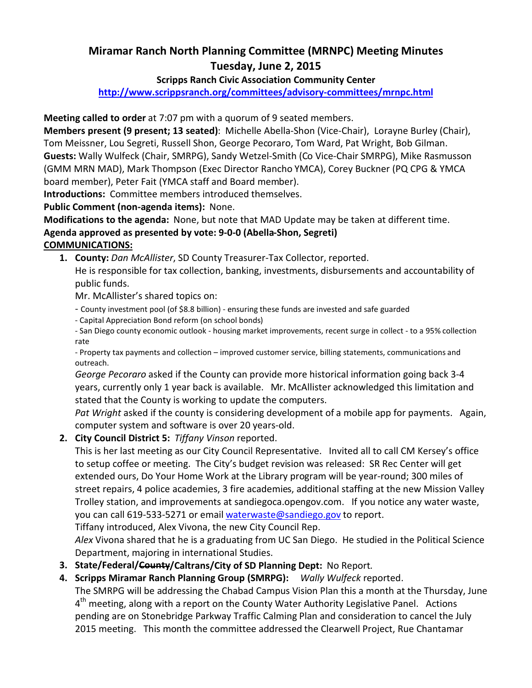# Miramar Ranch North Planning Committee (MRNPC) Meeting Minutes Tuesday, June 2, 2015

### Scripps Ranch Civic Association Community Center

http://www.scrippsranch.org/committees/advisory-committees/mrnpc.html

Meeting called to order at 7:07 pm with a quorum of 9 seated members.

Members present (9 present; 13 seated): Michelle Abella-Shon (Vice-Chair), Lorayne Burley (Chair), Tom Meissner, Lou Segreti, Russell Shon, George Pecoraro, Tom Ward, Pat Wright, Bob Gilman. Guests: Wally Wulfeck (Chair, SMRPG), Sandy Wetzel-Smith (Co Vice-Chair SMRPG), Mike Rasmusson (GMM MRN MAD), Mark Thompson (Exec Director Rancho YMCA), Corey Buckner (PQ CPG & YMCA board member), Peter Fait (YMCA staff and Board member).

Introductions: Committee members introduced themselves.

Public Comment (non-agenda items): None.

Modifications to the agenda: None, but note that MAD Update may be taken at different time. Agenda approved as presented by vote: 9-0-0 (Abella-Shon, Segreti) COMMUNICATIONS:

1. County: Dan McAllister, SD County Treasurer-Tax Collector, reported.

He is responsible for tax collection, banking, investments, disbursements and accountability of public funds.

Mr. McAllister's shared topics on:

- County investment pool (of \$8.8 billion) ensuring these funds are invested and safe guarded
- Capital Appreciation Bond reform (on school bonds)

- San Diego county economic outlook - housing market improvements, recent surge in collect - to a 95% collection rate

- Property tax payments and collection – improved customer service, billing statements, communications and outreach.

George Pecoraro asked if the County can provide more historical information going back 3-4 years, currently only 1 year back is available. Mr. McAllister acknowledged this limitation and stated that the County is working to update the computers.

Pat Wright asked if the county is considering development of a mobile app for payments. Again, computer system and software is over 20 years-old.

2. City Council District 5: Tiffany Vinson reported.

This is her last meeting as our City Council Representative. Invited all to call CM Kersey's office to setup coffee or meeting. The City's budget revision was released: SR Rec Center will get extended ours, Do Your Home Work at the Library program will be year-round; 300 miles of street repairs, 4 police academies, 3 fire academies, additional staffing at the new Mission Valley Trolley station, and improvements at sandiegoca.opengov.com. If you notice any water waste, you can call 619-533-5271 or email waterwaste@sandiego.gov to report. Tiffany introduced, Alex Vivona, the new City Council Rep.

Alex Vivona shared that he is a graduating from UC San Diego. He studied in the Political Science Department, majoring in international Studies.

- 3. State/Federal/County/Caltrans/City of SD Planning Dept: No Report.
- 4. Scripps Miramar Ranch Planning Group (SMRPG): Wally Wulfeck reported. The SMRPG will be addressing the Chabad Campus Vision Plan this a month at the Thursday, June 4<sup>th</sup> meeting, along with a report on the County Water Authority Legislative Panel. Actions pending are on Stonebridge Parkway Traffic Calming Plan and consideration to cancel the July 2015 meeting. This month the committee addressed the Clearwell Project, Rue Chantamar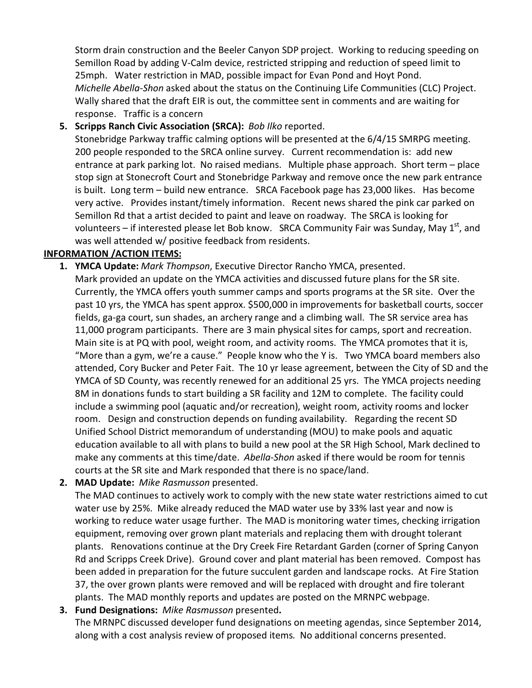Storm drain construction and the Beeler Canyon SDP project. Working to reducing speeding on Semillon Road by adding V-Calm device, restricted stripping and reduction of speed limit to 25mph. Water restriction in MAD, possible impact for Evan Pond and Hoyt Pond. Michelle Abella-Shon asked about the status on the Continuing Life Communities (CLC) Project. Wally shared that the draft EIR is out, the committee sent in comments and are waiting for response. Traffic is a concern

5. Scripps Ranch Civic Association (SRCA): Bob Ilko reported.

Stonebridge Parkway traffic calming options will be presented at the 6/4/15 SMRPG meeting. 200 people responded to the SRCA online survey. Current recommendation is: add new entrance at park parking lot. No raised medians. Multiple phase approach. Short term – place stop sign at Stonecroft Court and Stonebridge Parkway and remove once the new park entrance is built. Long term – build new entrance. SRCA Facebook page has 23,000 likes. Has become very active. Provides instant/timely information. Recent news shared the pink car parked on Semillon Rd that a artist decided to paint and leave on roadway. The SRCA is looking for volunteers – if interested please let Bob know. SRCA Community Fair was Sunday, May  $1<sup>st</sup>$ , and was well attended w/ positive feedback from residents.

## INFORMATION /ACTION ITEMS:

- 1. YMCA Update: Mark Thompson, Executive Director Rancho YMCA, presented. Mark provided an update on the YMCA activities and discussed future plans for the SR site. Currently, the YMCA offers youth summer camps and sports programs at the SR site. Over the past 10 yrs, the YMCA has spent approx. \$500,000 in improvements for basketball courts, soccer fields, ga-ga court, sun shades, an archery range and a climbing wall. The SR service area has 11,000 program participants. There are 3 main physical sites for camps, sport and recreation. Main site is at PQ with pool, weight room, and activity rooms. The YMCA promotes that it is, "More than a gym, we're a cause." People know who the Y is. Two YMCA board members also attended, Cory Bucker and Peter Fait. The 10 yr lease agreement, between the City of SD and the YMCA of SD County, was recently renewed for an additional 25 yrs. The YMCA projects needing 8M in donations funds to start building a SR facility and 12M to complete. The facility could include a swimming pool (aquatic and/or recreation), weight room, activity rooms and locker room. Design and construction depends on funding availability. Regarding the recent SD Unified School District memorandum of understanding (MOU) to make pools and aquatic education available to all with plans to build a new pool at the SR High School, Mark declined to make any comments at this time/date. Abella-Shon asked if there would be room for tennis courts at the SR site and Mark responded that there is no space/land.
- 2. MAD Update: Mike Rasmusson presented.

The MAD continues to actively work to comply with the new state water restrictions aimed to cut water use by 25%. Mike already reduced the MAD water use by 33% last year and now is working to reduce water usage further. The MAD is monitoring water times, checking irrigation equipment, removing over grown plant materials and replacing them with drought tolerant plants. Renovations continue at the Dry Creek Fire Retardant Garden (corner of Spring Canyon Rd and Scripps Creek Drive). Ground cover and plant material has been removed. Compost has been added in preparation for the future succulent garden and landscape rocks. At Fire Station 37, the over grown plants were removed and will be replaced with drought and fire tolerant plants. The MAD monthly reports and updates are posted on the MRNPC webpage.

3. Fund Designations: Mike Rasmusson presented. The MRNPC discussed developer fund designations on meeting agendas, since September 2014, along with a cost analysis review of proposed items. No additional concerns presented.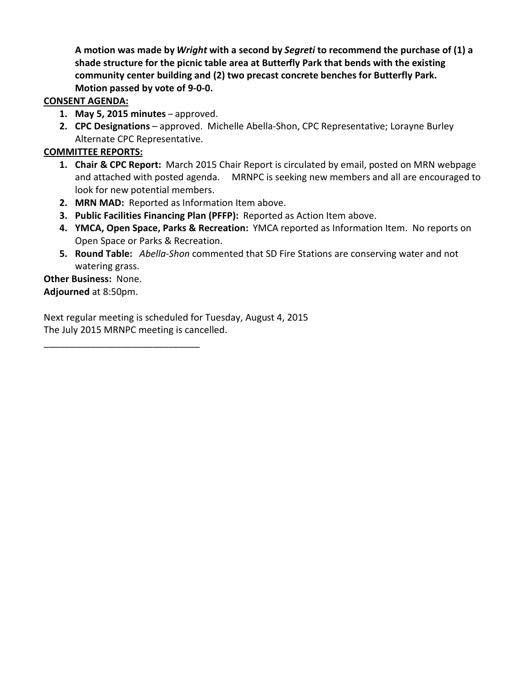A motion was made by Wright with a second by Segreti to recommend the purchase of (1) a shade structure for the picnic table area at Butterfly Park that bends with the existing community center building and (2) two precast concrete benches for Butterfly Park. Motion passed by vote of 9-0-0.

### CONSENT AGENDA:

- 1. May 5, 2015 minutes approved.
- 2. CPC Designations approved. Michelle Abella-Shon, CPC Representative; Lorayne Burley Alternate CPC Representative.

# COMMITTEE REPORTS:

- **1. Chair & CPC Report:** March 2015 Chair Report is circulated by email, posted on MRN webpage and attached with posted agenda. MRNPC is seeking new members and all are encouraged to look for new potential members.
- 2. MRN MAD: Reported as Information Item above.
- 3. Public Facilities Financing Plan (PFFP): Reported as Action Item above.
- 4. YMCA, Open Space, Parks & Recreation: YMCA reported as Information Item. No reports on Open Space or Parks & Recreation.
- 5. Round Table: Abella-Shon commented that SD Fire Stations are conserving water and not watering grass.

Other Business: None. Adjourned at 8:50pm.

\_\_\_\_\_\_\_\_\_\_\_\_\_\_\_\_\_\_\_\_\_\_\_\_\_\_\_\_\_\_

Next regular meeting is scheduled for Tuesday, August 4, 2015 The July 2015 MRNPC meeting is cancelled.